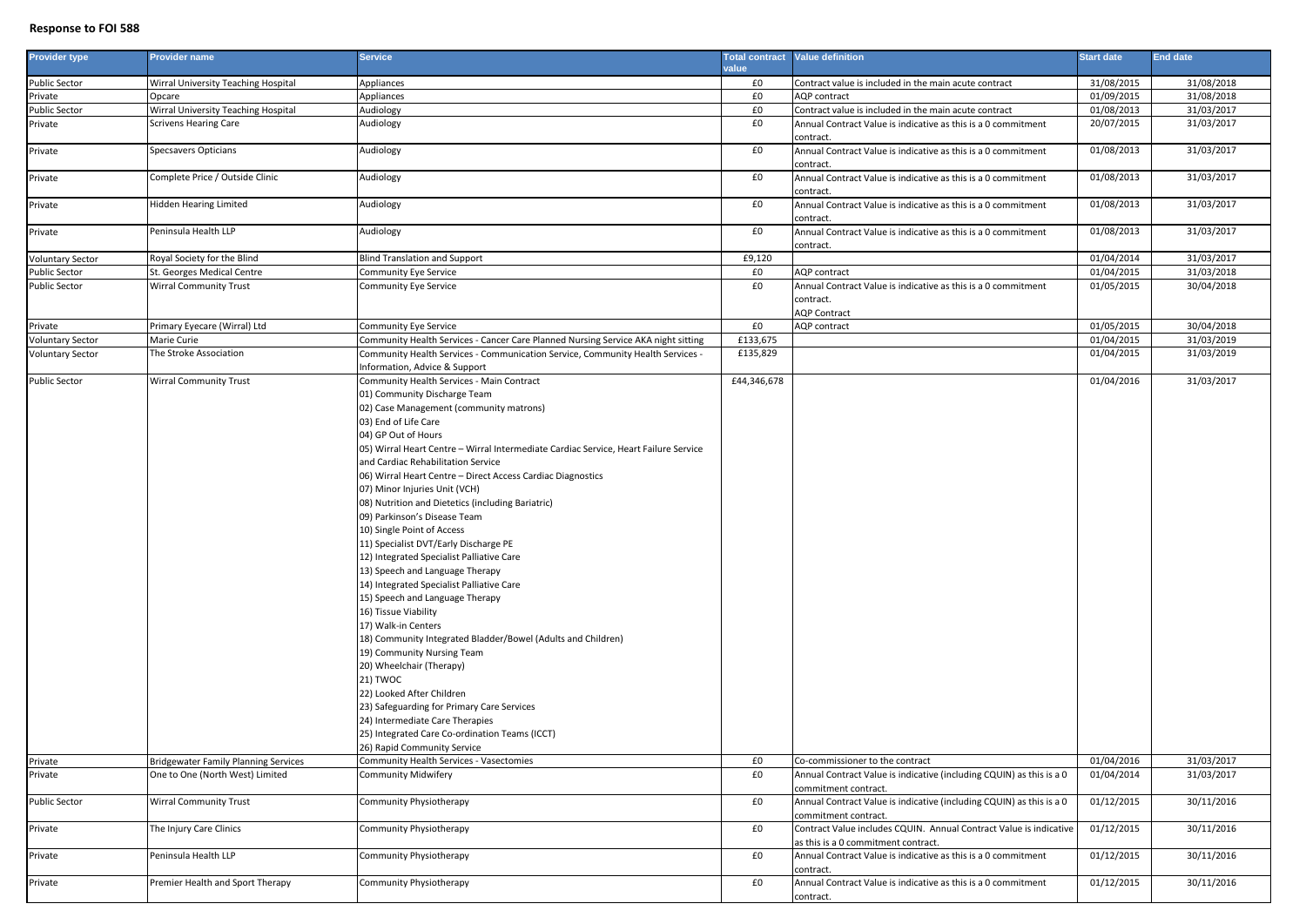## **Response to FOI 588**

| <b>Provider type</b>    | <b>Provider name</b>                        | Service                                                                                                                                                                                                                                                                                                                                                                                                                                                                                                                                                                                                                                                                                                                                                                                                                                                                                                                                                                                                                                                              |             | <b>Total contract</b> Value definition                                                                    | <b>Start date</b> | <b>End date</b> |
|-------------------------|---------------------------------------------|----------------------------------------------------------------------------------------------------------------------------------------------------------------------------------------------------------------------------------------------------------------------------------------------------------------------------------------------------------------------------------------------------------------------------------------------------------------------------------------------------------------------------------------------------------------------------------------------------------------------------------------------------------------------------------------------------------------------------------------------------------------------------------------------------------------------------------------------------------------------------------------------------------------------------------------------------------------------------------------------------------------------------------------------------------------------|-------------|-----------------------------------------------------------------------------------------------------------|-------------------|-----------------|
|                         |                                             |                                                                                                                                                                                                                                                                                                                                                                                                                                                                                                                                                                                                                                                                                                                                                                                                                                                                                                                                                                                                                                                                      | value       |                                                                                                           |                   |                 |
| <b>Public Sector</b>    | Wirral University Teaching Hospital         | Appliances                                                                                                                                                                                                                                                                                                                                                                                                                                                                                                                                                                                                                                                                                                                                                                                                                                                                                                                                                                                                                                                           | £0          | Contract value is included in the main acute contract                                                     | 31/08/2015        | 31/08/2018      |
| Private                 | Opcare                                      | Appliances                                                                                                                                                                                                                                                                                                                                                                                                                                                                                                                                                                                                                                                                                                                                                                                                                                                                                                                                                                                                                                                           | £0          | <b>AQP</b> contract                                                                                       | 01/09/2015        | 31/08/2018      |
| Public Sector           | Wirral University Teaching Hospital         | Audiology                                                                                                                                                                                                                                                                                                                                                                                                                                                                                                                                                                                                                                                                                                                                                                                                                                                                                                                                                                                                                                                            | £0          | Contract value is included in the main acute contract                                                     | 01/08/2013        | 31/03/2017      |
| Private                 | <b>Scrivens Hearing Care</b>                | Audiology                                                                                                                                                                                                                                                                                                                                                                                                                                                                                                                                                                                                                                                                                                                                                                                                                                                                                                                                                                                                                                                            | £0          | Annual Contract Value is indicative as this is a 0 commitment<br>contract.                                | 20/07/2015        | 31/03/2017      |
| Private                 | Specsavers Opticians                        | Audiology                                                                                                                                                                                                                                                                                                                                                                                                                                                                                                                                                                                                                                                                                                                                                                                                                                                                                                                                                                                                                                                            | £0          | Annual Contract Value is indicative as this is a 0 commitment<br>contract.                                | 01/08/2013        | 31/03/2017      |
| Private                 | Complete Price / Outside Clinic             | Audiology                                                                                                                                                                                                                                                                                                                                                                                                                                                                                                                                                                                                                                                                                                                                                                                                                                                                                                                                                                                                                                                            | £0          | Annual Contract Value is indicative as this is a 0 commitment<br>contract.                                | 01/08/2013        | 31/03/2017      |
| Private                 | Hidden Hearing Limited                      | Audiology                                                                                                                                                                                                                                                                                                                                                                                                                                                                                                                                                                                                                                                                                                                                                                                                                                                                                                                                                                                                                                                            | £0          | Annual Contract Value is indicative as this is a 0 commitment<br>contract.                                | 01/08/2013        | 31/03/2017      |
| Private                 | Peninsula Health LLP                        | Audiology                                                                                                                                                                                                                                                                                                                                                                                                                                                                                                                                                                                                                                                                                                                                                                                                                                                                                                                                                                                                                                                            | £0          | Annual Contract Value is indicative as this is a 0 commitment<br>contract.                                | 01/08/2013        | 31/03/2017      |
| <b>Voluntary Sector</b> | Royal Society for the Blind                 | <b>Blind Translation and Support</b>                                                                                                                                                                                                                                                                                                                                                                                                                                                                                                                                                                                                                                                                                                                                                                                                                                                                                                                                                                                                                                 | £9,120      |                                                                                                           | 01/04/2014        | 31/03/2017      |
| <b>Public Sector</b>    | St. Georges Medical Centre                  | Community Eye Service                                                                                                                                                                                                                                                                                                                                                                                                                                                                                                                                                                                                                                                                                                                                                                                                                                                                                                                                                                                                                                                | £0          | AQP contract                                                                                              | 01/04/2015        | 31/03/2018      |
| <b>Public Sector</b>    | <b>Wirral Community Trust</b>               | Community Eye Service                                                                                                                                                                                                                                                                                                                                                                                                                                                                                                                                                                                                                                                                                                                                                                                                                                                                                                                                                                                                                                                | £0          | Annual Contract Value is indicative as this is a 0 commitment                                             | 01/05/2015        | 30/04/2018      |
|                         |                                             |                                                                                                                                                                                                                                                                                                                                                                                                                                                                                                                                                                                                                                                                                                                                                                                                                                                                                                                                                                                                                                                                      |             | contract.<br><b>AQP Contract</b>                                                                          |                   |                 |
| Private                 | Primary Eyecare (Wirral) Ltd                | Community Eye Service                                                                                                                                                                                                                                                                                                                                                                                                                                                                                                                                                                                                                                                                                                                                                                                                                                                                                                                                                                                                                                                | £0          | AQP contract                                                                                              | 01/05/2015        | 30/04/2018      |
| <b>Voluntary Sector</b> | Marie Curie                                 | Community Health Services - Cancer Care Planned Nursing Service AKA night sitting                                                                                                                                                                                                                                                                                                                                                                                                                                                                                                                                                                                                                                                                                                                                                                                                                                                                                                                                                                                    | £133,675    |                                                                                                           | 01/04/2015        | 31/03/2019      |
| <b>Voluntary Sector</b> | The Stroke Association                      | Community Health Services - Communication Service, Community Health Services -<br>Information, Advice & Support                                                                                                                                                                                                                                                                                                                                                                                                                                                                                                                                                                                                                                                                                                                                                                                                                                                                                                                                                      | £135,829    |                                                                                                           | 01/04/2015        | 31/03/2019      |
| <b>Public Sector</b>    | <b>Wirral Community Trust</b>               | Community Health Services - Main Contract                                                                                                                                                                                                                                                                                                                                                                                                                                                                                                                                                                                                                                                                                                                                                                                                                                                                                                                                                                                                                            | £44,346,678 |                                                                                                           | 01/04/2016        | 31/03/2017      |
|                         |                                             | 01) Community Discharge Team<br>02) Case Management (community matrons)<br>03) End of Life Care<br>04) GP Out of Hours<br>05) Wirral Heart Centre - Wirral Intermediate Cardiac Service, Heart Failure Service<br>and Cardiac Rehabilitation Service<br>06) Wirral Heart Centre - Direct Access Cardiac Diagnostics<br>07) Minor Injuries Unit (VCH)<br>08) Nutrition and Dietetics (including Bariatric)<br>09) Parkinson's Disease Team<br>10) Single Point of Access<br>11) Specialist DVT/Early Discharge PE<br>12) Integrated Specialist Palliative Care<br>13) Speech and Language Therapy<br>14) Integrated Specialist Palliative Care<br>15) Speech and Language Therapy<br>16) Tissue Viability<br>17) Walk-in Centers<br>18) Community Integrated Bladder/Bowel (Adults and Children)<br>19) Community Nursing Team<br>20) Wheelchair (Therapy)<br>21) TWOC<br>22) Looked After Children<br>23) Safeguarding for Primary Care Services<br>24) Intermediate Care Therapies<br>25) Integrated Care Co-ordination Teams (ICCT)<br>26) Rapid Community Service |             |                                                                                                           |                   |                 |
| Private                 | <b>Bridgewater Family Planning Services</b> | Community Health Services - Vasectomies                                                                                                                                                                                                                                                                                                                                                                                                                                                                                                                                                                                                                                                                                                                                                                                                                                                                                                                                                                                                                              | £0          | Co-commissioner to the contract                                                                           | 01/04/2016        | 31/03/2017      |
| Private                 | One to One (North West) Limited             | Community Midwifery                                                                                                                                                                                                                                                                                                                                                                                                                                                                                                                                                                                                                                                                                                                                                                                                                                                                                                                                                                                                                                                  | £0          | Annual Contract Value is indicative (including CQUIN) as this is a 0<br>commitment contract.              | 01/04/2014        | 31/03/2017      |
| <b>Public Sector</b>    | <b>Wirral Community Trust</b>               | Community Physiotherapy                                                                                                                                                                                                                                                                                                                                                                                                                                                                                                                                                                                                                                                                                                                                                                                                                                                                                                                                                                                                                                              | £0          | Annual Contract Value is indicative (including CQUIN) as this is a 0<br>commitment contract.              | 01/12/2015        | 30/11/2016      |
| Private                 | The Injury Care Clinics                     | Community Physiotherapy                                                                                                                                                                                                                                                                                                                                                                                                                                                                                                                                                                                                                                                                                                                                                                                                                                                                                                                                                                                                                                              | £0          | Contract Value includes CQUIN. Annual Contract Value is indicative<br>as this is a 0 commitment contract. | 01/12/2015        | 30/11/2016      |
| Private                 | Peninsula Health LLP                        | Community Physiotherapy                                                                                                                                                                                                                                                                                                                                                                                                                                                                                                                                                                                                                                                                                                                                                                                                                                                                                                                                                                                                                                              | £0          | Annual Contract Value is indicative as this is a 0 commitment<br>contract.                                | 01/12/2015        | 30/11/2016      |
| Private                 | Premier Health and Sport Therapy            | Community Physiotherapy                                                                                                                                                                                                                                                                                                                                                                                                                                                                                                                                                                                                                                                                                                                                                                                                                                                                                                                                                                                                                                              | £0          | Annual Contract Value is indicative as this is a 0 commitment<br>contract.                                | 01/12/2015        | 30/11/2016      |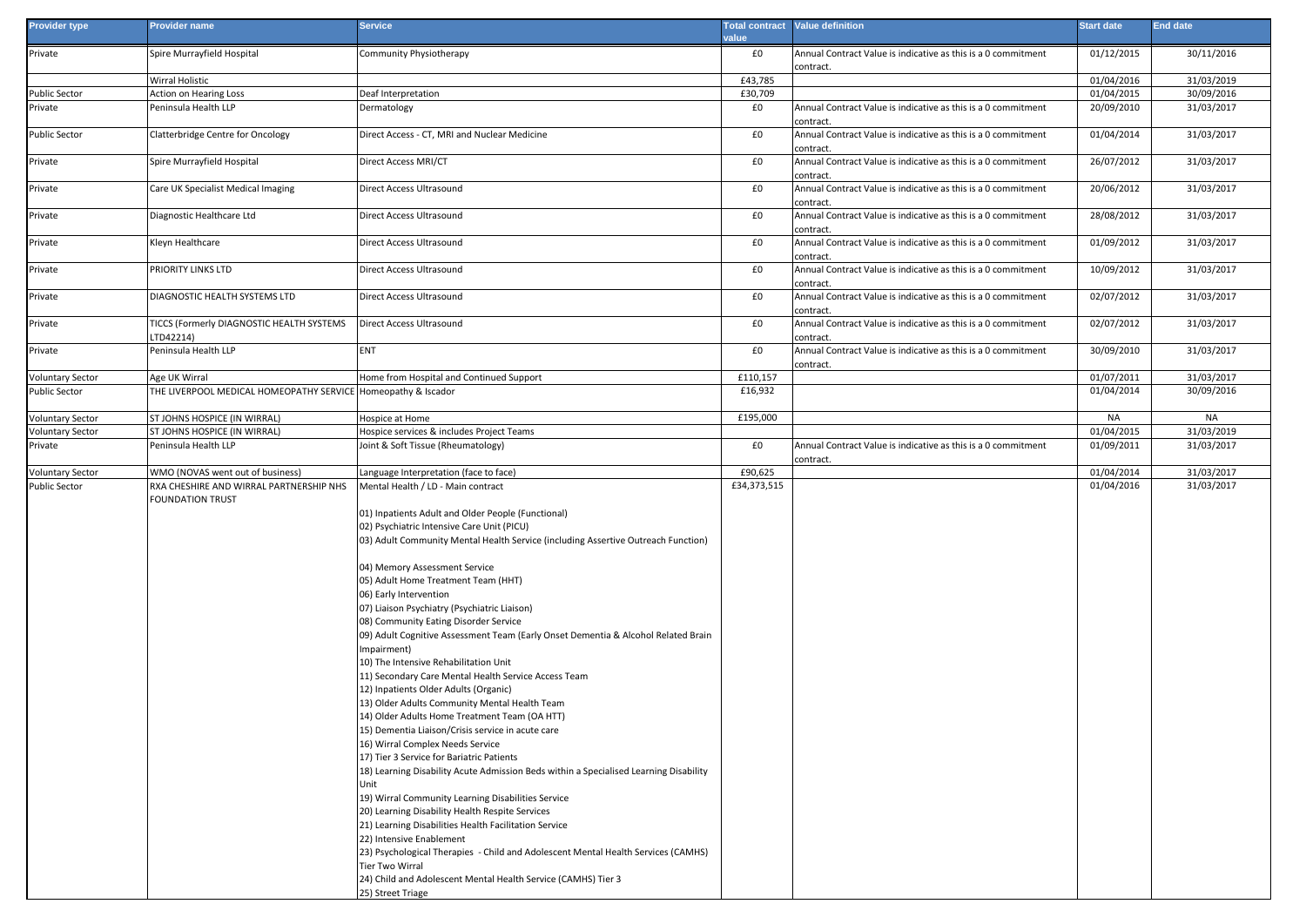| <b>Provider type</b>    | <b>Provider name</b>                                          | <b>Service</b>                                                                                                                  | value             | <b>Total contract Value definition</b>                                     | <b>Start date</b> | End date   |
|-------------------------|---------------------------------------------------------------|---------------------------------------------------------------------------------------------------------------------------------|-------------------|----------------------------------------------------------------------------|-------------------|------------|
| Private                 | Spire Murrayfield Hospital                                    | Community Physiotherapy                                                                                                         | £0                | Annual Contract Value is indicative as this is a 0 commitment              | 01/12/2015        | 30/11/2016 |
|                         |                                                               |                                                                                                                                 |                   | contract.                                                                  |                   |            |
|                         | Wirral Holistic                                               |                                                                                                                                 | £43,785           |                                                                            | 01/04/2016        | 31/03/2019 |
| Public Sector           | <b>Action on Hearing Loss</b>                                 | Deaf Interpretation                                                                                                             | £30,709           |                                                                            | 01/04/2015        | 30/09/2016 |
| Private                 | Peninsula Health LLP                                          | Dermatology                                                                                                                     | £0                | Annual Contract Value is indicative as this is a 0 commitment<br>contract. | 20/09/2010        | 31/03/2017 |
| Public Sector           | Clatterbridge Centre for Oncology                             | Direct Access - CT, MRI and Nuclear Medicine                                                                                    | £0                | Annual Contract Value is indicative as this is a 0 commitment<br>contract. | 01/04/2014        | 31/03/2017 |
| Private                 | Spire Murrayfield Hospital                                    | Direct Access MRI/CT                                                                                                            | £0                | Annual Contract Value is indicative as this is a 0 commitment<br>contract. | 26/07/2012        | 31/03/2017 |
| Private                 | Care UK Specialist Medical Imaging                            | Direct Access Ultrasound                                                                                                        | $\pmb{\text{f0}}$ | Annual Contract Value is indicative as this is a 0 commitment<br>contract. | 20/06/2012        | 31/03/2017 |
| Private                 | Diagnostic Healthcare Ltd                                     | Direct Access Ultrasound                                                                                                        | £0                | Annual Contract Value is indicative as this is a 0 commitment<br>contract. | 28/08/2012        | 31/03/2017 |
| Private                 | Kleyn Healthcare                                              | Direct Access Ultrasound                                                                                                        | £0                | Annual Contract Value is indicative as this is a 0 commitment<br>contract. | 01/09/2012        | 31/03/2017 |
| Private                 | PRIORITY LINKS LTD                                            | Direct Access Ultrasound                                                                                                        | £0                | Annual Contract Value is indicative as this is a 0 commitment<br>contract. | 10/09/2012        | 31/03/2017 |
| Private                 | DIAGNOSTIC HEALTH SYSTEMS LTD                                 | Direct Access Ultrasound                                                                                                        | £0                | Annual Contract Value is indicative as this is a 0 commitment<br>contract. | 02/07/2012        | 31/03/2017 |
| Private                 | TICCS (Formerly DIAGNOSTIC HEALTH SYSTEMS<br>LTD42214)        | Direct Access Ultrasound                                                                                                        | £0                | Annual Contract Value is indicative as this is a 0 commitment<br>contract. | 02/07/2012        | 31/03/2017 |
| Private                 | Peninsula Health LLP                                          | ENT                                                                                                                             | £0                | Annual Contract Value is indicative as this is a 0 commitment<br>contract. | 30/09/2010        | 31/03/2017 |
| Voluntary Sector        | Age UK Wirral                                                 | Home from Hospital and Continued Support                                                                                        | £110,157          |                                                                            | 01/07/2011        | 31/03/2017 |
| Public Sector           | THE LIVERPOOL MEDICAL HOMEOPATHY SERVICE Homeopathy & Iscador |                                                                                                                                 | £16,932           |                                                                            | 01/04/2014        | 30/09/2016 |
| Voluntary Sector        | ST JOHNS HOSPICE (IN WIRRAL)                                  | Hospice at Home                                                                                                                 | £195,000          |                                                                            | NA                | NA         |
| Voluntary Sector        | ST JOHNS HOSPICE (IN WIRRAL)                                  | Hospice services & includes Project Teams                                                                                       |                   |                                                                            | 01/04/2015        | 31/03/2019 |
| Private                 | Peninsula Health LLP                                          | Joint & Soft Tissue (Rheumatology)                                                                                              | £0                | Annual Contract Value is indicative as this is a 0 commitment<br>contract. | 01/09/2011        | 31/03/2017 |
| <b>Voluntary Sector</b> | WMO (NOVAS went out of business)                              | Language Interpretation (face to face)                                                                                          | £90,625           |                                                                            | 01/04/2014        | 31/03/2017 |
| Public Sector           | RXA CHESHIRE AND WIRRAL PARTNERSHIP NHS<br>FOUNDATION TRUST   | Mental Health / LD - Main contract<br>01) Inpatients Adult and Older People (Functional)                                        | £34,373,515       |                                                                            | 01/04/2016        | 31/03/2017 |
|                         |                                                               | 02) Psychiatric Intensive Care Unit (PICU)<br>03) Adult Community Mental Health Service (including Assertive Outreach Function) |                   |                                                                            |                   |            |
|                         |                                                               | 04) Memory Assessment Service<br>05) Adult Home Treatment Team (HHT)                                                            |                   |                                                                            |                   |            |
|                         |                                                               | 06) Early Intervention                                                                                                          |                   |                                                                            |                   |            |
|                         |                                                               | 07) Liaison Psychiatry (Psychiatric Liaison)                                                                                    |                   |                                                                            |                   |            |
|                         |                                                               | 08) Community Eating Disorder Service                                                                                           |                   |                                                                            |                   |            |
|                         |                                                               | 09) Adult Cognitive Assessment Team (Early Onset Dementia & Alcohol Related Brain                                               |                   |                                                                            |                   |            |
|                         |                                                               | mpairment)                                                                                                                      |                   |                                                                            |                   |            |
|                         |                                                               | 10) The Intensive Rehabilitation Unit                                                                                           |                   |                                                                            |                   |            |
|                         |                                                               | 11) Secondary Care Mental Health Service Access Team                                                                            |                   |                                                                            |                   |            |
|                         |                                                               | 12) Inpatients Older Adults (Organic)                                                                                           |                   |                                                                            |                   |            |
|                         |                                                               | 13) Older Adults Community Mental Health Team                                                                                   |                   |                                                                            |                   |            |
|                         |                                                               | 14) Older Adults Home Treatment Team (OA HTT)                                                                                   |                   |                                                                            |                   |            |
|                         |                                                               | 15) Dementia Liaison/Crisis service in acute care<br>16) Wirral Complex Needs Service                                           |                   |                                                                            |                   |            |
|                         |                                                               | 17) Tier 3 Service for Bariatric Patients                                                                                       |                   |                                                                            |                   |            |
|                         |                                                               | 18) Learning Disability Acute Admission Beds within a Specialised Learning Disability                                           |                   |                                                                            |                   |            |
|                         |                                                               | Unit                                                                                                                            |                   |                                                                            |                   |            |
|                         |                                                               | 19) Wirral Community Learning Disabilities Service<br>20) Learning Disability Health Respite Services                           |                   |                                                                            |                   |            |
|                         |                                                               | 21) Learning Disabilities Health Facilitation Service                                                                           |                   |                                                                            |                   |            |
|                         |                                                               | 22) Intensive Enablement                                                                                                        |                   |                                                                            |                   |            |
|                         |                                                               | 23) Psychological Therapies - Child and Adolescent Mental Health Services (CAMHS)<br>Tier Two Wirral                            |                   |                                                                            |                   |            |
|                         |                                                               | 24) Child and Adolescent Mental Health Service (CAMHS) Tier 3                                                                   |                   |                                                                            |                   |            |
|                         |                                                               | 25) Street Triage                                                                                                               |                   |                                                                            |                   |            |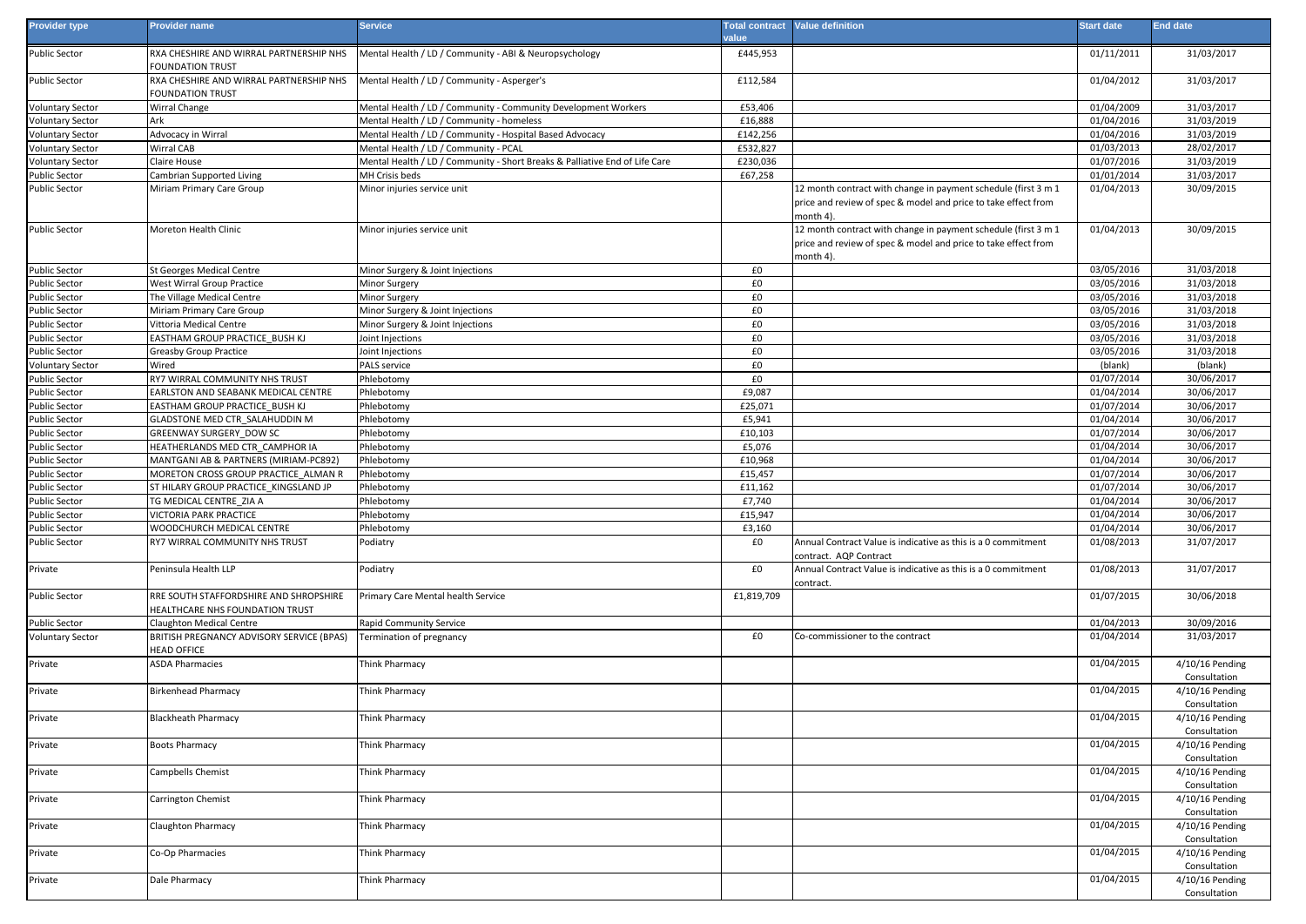| Provider type                  | <b>Provider name</b>                                                          | <b>Service</b>                                                              | value              | <b>Total contract</b> Value definition                                                                                                        | <b>Start date</b>        | <b>End date</b>                 |
|--------------------------------|-------------------------------------------------------------------------------|-----------------------------------------------------------------------------|--------------------|-----------------------------------------------------------------------------------------------------------------------------------------------|--------------------------|---------------------------------|
| Public Sector                  | RXA CHESHIRE AND WIRRAL PARTNERSHIP NHS<br>FOUNDATION TRUST                   | Mental Health / LD / Community - ABI & Neuropsychology                      | £445,953           |                                                                                                                                               | 01/11/2011               | 31/03/2017                      |
| Public Sector                  | RXA CHESHIRE AND WIRRAL PARTNERSHIP NHS<br>FOUNDATION TRUST                   | Mental Health / LD / Community - Asperger's                                 | £112,584           |                                                                                                                                               | 01/04/2012               | 31/03/2017                      |
| /oluntary Sector               | Wirral Change                                                                 | Mental Health / LD / Community - Community Development Workers              | £53,406            |                                                                                                                                               | 01/04/2009               | 31/03/2017                      |
| /oluntary Sector               | Ark                                                                           | Mental Health / LD / Community - homeless                                   | £16,888            |                                                                                                                                               | 01/04/2016               | 31/03/2019                      |
| /oluntary Sector               | Advocacy in Wirral                                                            | Mental Health / LD / Community - Hospital Based Advocacy                    | £142,256           |                                                                                                                                               | 01/04/2016               | 31/03/2019                      |
| /oluntary Sector               | Wirral CAB                                                                    | Mental Health / LD / Community - PCAL                                       | £532,827           |                                                                                                                                               | 01/03/2013               | 28/02/2017                      |
| <b>Voluntary Sector</b>        | Claire House                                                                  | Mental Health / LD / Community - Short Breaks & Palliative End of Life Care | £230,036           |                                                                                                                                               | 01/07/2016               | 31/03/2019                      |
| Public Sector                  | Cambrian Supported Living                                                     | MH Crisis beds                                                              | £67,258            |                                                                                                                                               | 01/01/2014               | 31/03/2017                      |
| <b>Public Sector</b>           | Miriam Primary Care Group                                                     | Minor injuries service unit                                                 |                    | 12 month contract with change in payment schedule (first 3 m 1<br>price and review of spec & model and price to take effect from<br>month 4). | 01/04/2013               | 30/09/2015                      |
| Public Sector                  | Moreton Health Clinic                                                         | Minor injuries service unit                                                 |                    | 12 month contract with change in payment schedule (first 3 m 1<br>price and review of spec & model and price to take effect from<br>month 4). | 01/04/2013               | 30/09/2015                      |
| Public Sector                  | St Georges Medical Centre                                                     | Minor Surgery & Joint Injections                                            | £0                 |                                                                                                                                               | 03/05/2016               | 31/03/2018                      |
| Public Sector                  | West Wirral Group Practice                                                    | Minor Surgery                                                               | £0                 |                                                                                                                                               | 03/05/2016               | 31/03/2018                      |
| Public Sector                  | The Village Medical Centre                                                    | Minor Surgery                                                               | £0                 |                                                                                                                                               | 03/05/2016               | 31/03/2018                      |
| Public Sector                  | Miriam Primary Care Group                                                     | Minor Surgery & Joint Injections                                            | £0                 |                                                                                                                                               | 03/05/2016               | 31/03/2018                      |
| Public Sector                  | Vittoria Medical Centre                                                       | Minor Surgery & Joint Injections                                            | £0                 |                                                                                                                                               | 03/05/2016               | 31/03/2018                      |
| Public Sector                  | EASTHAM GROUP PRACTICE BUSH KJ                                                | Joint Injections                                                            | £0                 |                                                                                                                                               | 03/05/2016               | 31/03/2018                      |
| Public Sector                  | <b>Greasby Group Practice</b>                                                 | Joint Injections                                                            | £0                 |                                                                                                                                               | 03/05/2016               | 31/03/2018                      |
| <b>Voluntary Sector</b>        | Wired                                                                         | PALS service                                                                | £0                 |                                                                                                                                               | (blank)                  | (blank)                         |
| Public Sector                  | RY7 WIRRAL COMMUNITY NHS TRUST                                                | Phlebotomy                                                                  | £0                 |                                                                                                                                               | 01/07/2014               | 30/06/2017                      |
| Public Sector                  | EARLSTON AND SEABANK MEDICAL CENTRE                                           | Phlebotomy                                                                  | £9,087             |                                                                                                                                               | 01/04/2014               | 30/06/2017                      |
| ublic Sector                   | EASTHAM GROUP PRACTICE BUSH KJ                                                | Phlebotomy                                                                  | £25,071            |                                                                                                                                               | 01/07/2014               | 30/06/2017                      |
| Public Sector                  | GLADSTONE MED CTR SALAHUDDIN M                                                | Phlebotomy                                                                  | £5,941             |                                                                                                                                               | 01/04/2014               | 30/06/2017                      |
| Public Sector                  | GREENWAY SURGERY DOW SC                                                       | Phlebotomy                                                                  | £10,103            |                                                                                                                                               | 01/07/2014               | 30/06/2017                      |
| Public Sector                  | HEATHERLANDS MED CTR CAMPHOR IA                                               | Phlebotomy                                                                  | £5,076             |                                                                                                                                               | 01/04/2014               | 30/06/2017                      |
| Public Sector                  | MANTGANI AB & PARTNERS (MIRIAM-PC892)                                         | Phlebotomy                                                                  | £10,968            |                                                                                                                                               | 01/04/2014               | 30/06/2017                      |
| Public Sector<br>Public Sector | MORETON CROSS GROUP PRACTICE ALMAN R<br>ST HILARY GROUP PRACTICE KINGSLAND JP | Phlebotomy<br>Phlebotomy                                                    | £15,457<br>£11,162 |                                                                                                                                               | 01/07/2014<br>01/07/2014 | 30/06/2017<br>30/06/2017        |
| Public Sector                  | TG MEDICAL CENTRE ZIA A                                                       | Phlebotomy                                                                  | £7,740             |                                                                                                                                               | 01/04/2014               | 30/06/2017                      |
| Public Sector                  | VICTORIA PARK PRACTICE                                                        | Phlebotomy                                                                  | £15,947            |                                                                                                                                               | 01/04/2014               | 30/06/2017                      |
| Public Sector                  | WOODCHURCH MEDICAL CENTRE                                                     | Phlebotomy                                                                  | £3,160             |                                                                                                                                               | 01/04/2014               | 30/06/2017                      |
| Public Sector                  | RY7 WIRRAL COMMUNITY NHS TRUST                                                | Podiatry                                                                    | £0                 | Annual Contract Value is indicative as this is a 0 commitment<br>contract. AQP Contract                                                       | 01/08/2013               | 31/07/2017                      |
| Private                        | Peninsula Health LLP                                                          | Podiatry                                                                    | £0                 | Annual Contract Value is indicative as this is a 0 commitment<br>contract.                                                                    | 01/08/2013               | 31/07/2017                      |
| Public Sector                  | RRE SOUTH STAFFORDSHIRE AND SHROPSHIRE<br>HEALTHCARE NHS FOUNDATION TRUST     | Primary Care Mental health Service                                          | £1,819,709         |                                                                                                                                               | 01/07/2015               | 30/06/2018                      |
| Public Sector                  | <b>Claughton Medical Centre</b>                                               | Rapid Community Service                                                     |                    |                                                                                                                                               | 01/04/2013               | 30/09/2016                      |
| <b>Voluntary Sector</b>        | BRITISH PREGNANCY ADVISORY SERVICE (BPAS)<br><b>HEAD OFFICE</b>               | Termination of pregnancy                                                    | £0                 | Co-commissioner to the contract                                                                                                               | 01/04/2014               | 31/03/2017                      |
| Private                        | <b>ASDA Pharmacies</b>                                                        | <b>Think Pharmacy</b>                                                       |                    |                                                                                                                                               | 01/04/2015               | 4/10/16 Pending<br>Consultation |
| Private                        | <b>Birkenhead Pharmacy</b>                                                    | Think Pharmacy                                                              |                    |                                                                                                                                               | 01/04/2015               | 4/10/16 Pending<br>Consultation |
| Private                        | <b>Blackheath Pharmacy</b>                                                    | Think Pharmacy                                                              |                    |                                                                                                                                               | 01/04/2015               | 4/10/16 Pending<br>Consultation |
| Private                        | <b>Boots Pharmacy</b>                                                         | Think Pharmacy                                                              |                    |                                                                                                                                               | 01/04/2015               | 4/10/16 Pending<br>Consultation |
| Private                        | Campbells Chemist                                                             | Think Pharmacy                                                              |                    |                                                                                                                                               | 01/04/2015               | 4/10/16 Pending<br>Consultation |
| Private                        | Carrington Chemist                                                            | Think Pharmacy                                                              |                    |                                                                                                                                               | 01/04/2015               | 4/10/16 Pending<br>Consultation |
| Private                        | Claughton Pharmacy                                                            | <b>Think Pharmacy</b>                                                       |                    |                                                                                                                                               | 01/04/2015               | 4/10/16 Pending<br>Consultation |
| Private                        | Co-Op Pharmacies                                                              | <b>Think Pharmacy</b>                                                       |                    |                                                                                                                                               | 01/04/2015               | 4/10/16 Pending<br>Consultation |
| Private                        | Dale Pharmacy                                                                 | <b>Think Pharmacy</b>                                                       |                    |                                                                                                                                               | 01/04/2015               | 4/10/16 Pending<br>Consultation |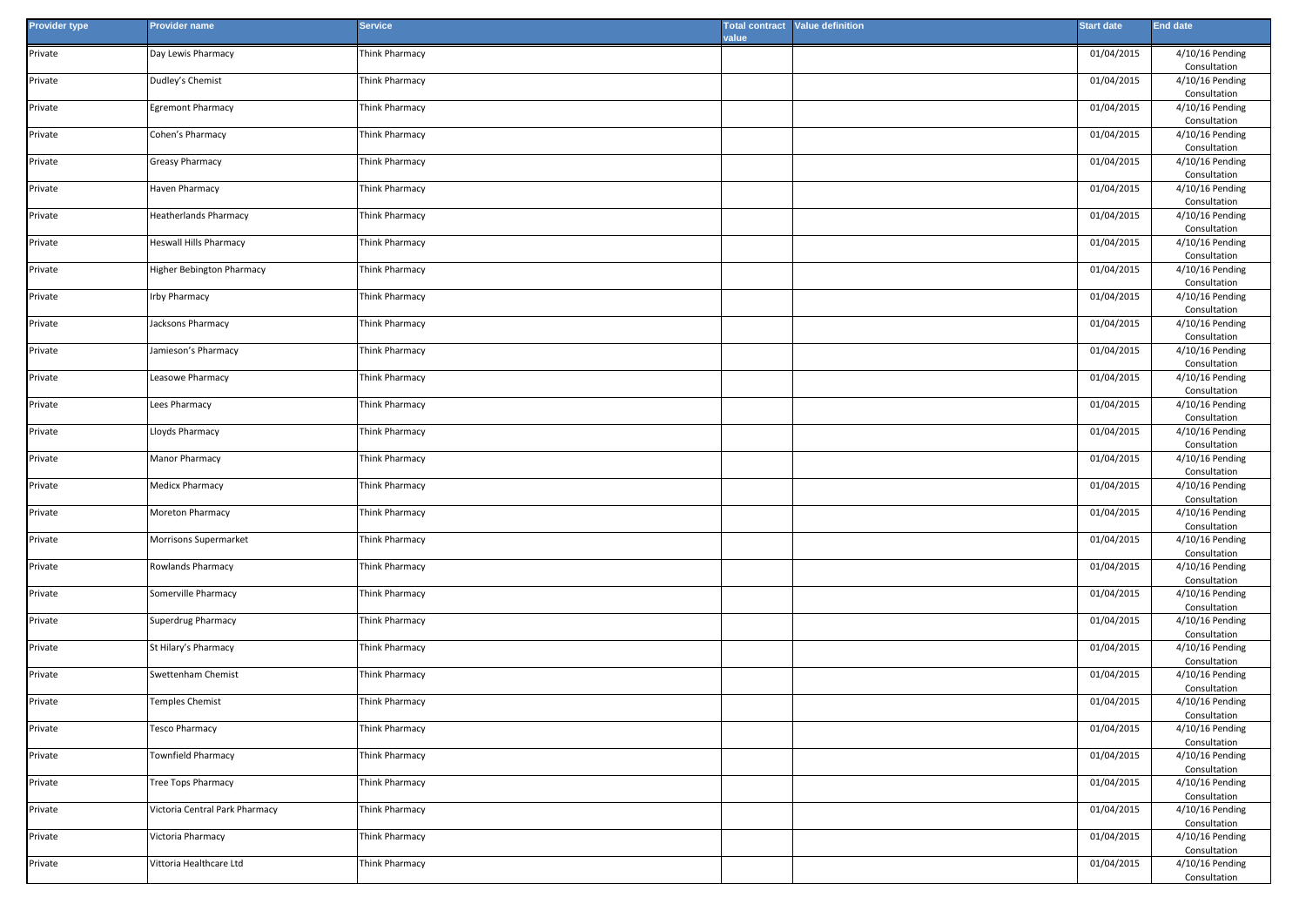| <b>Provider type</b> | <b>Provider name</b>           | <b>Service</b> | value | <b>Total contract</b> Value definition | <b>Start date</b> | <b>End date</b>                 |
|----------------------|--------------------------------|----------------|-------|----------------------------------------|-------------------|---------------------------------|
| Private              | Day Lewis Pharmacy             | Think Pharmacy |       |                                        | 01/04/2015        | 4/10/16 Pending<br>Consultation |
| Private              | Dudley's Chemist               | Think Pharmacy |       |                                        | 01/04/2015        | 4/10/16 Pending<br>Consultation |
| Private              | <b>Egremont Pharmacy</b>       | Think Pharmacy |       |                                        | 01/04/2015        | 4/10/16 Pending<br>Consultation |
| Private              | Cohen's Pharmacy               | Think Pharmacy |       |                                        | 01/04/2015        | 4/10/16 Pending<br>Consultation |
| Private              | Greasy Pharmacy                | Think Pharmacy |       |                                        | 01/04/2015        | 4/10/16 Pending<br>Consultation |
| Private              | Haven Pharmacy                 | Think Pharmacy |       |                                        | 01/04/2015        | 4/10/16 Pending<br>Consultation |
| Private              | <b>Heatherlands Pharmacy</b>   | Think Pharmacy |       |                                        | 01/04/2015        | 4/10/16 Pending<br>Consultation |
| Private              | Heswall Hills Pharmacy         | Think Pharmacy |       |                                        | 01/04/2015        | 4/10/16 Pending<br>Consultation |
| Private              | Higher Bebington Pharmacy      | Think Pharmacy |       |                                        | 01/04/2015        | 4/10/16 Pending<br>Consultation |
| Private              | Irby Pharmacy                  | Think Pharmacy |       |                                        | 01/04/2015        | 4/10/16 Pending<br>Consultation |
| Private              | Jacksons Pharmacy              | Think Pharmacy |       |                                        | 01/04/2015        | 4/10/16 Pending<br>Consultation |
| Private              | Jamieson's Pharmacy            | Think Pharmacy |       |                                        | 01/04/2015        | 4/10/16 Pending<br>Consultation |
| Private              | Leasowe Pharmacy               | Think Pharmacy |       |                                        | 01/04/2015        | 4/10/16 Pending<br>Consultation |
| Private              | Lees Pharmacy                  | Think Pharmacy |       |                                        | 01/04/2015        | 4/10/16 Pending<br>Consultation |
| Private              | Lloyds Pharmacy                | Think Pharmacy |       |                                        | 01/04/2015        | 4/10/16 Pending<br>Consultation |
| Private              | Manor Pharmacy                 | Think Pharmacy |       |                                        | 01/04/2015        | 4/10/16 Pending<br>Consultation |
| Private              | Medicx Pharmacy                | Think Pharmacy |       |                                        | 01/04/2015        | 4/10/16 Pending<br>Consultation |
| Private              | Moreton Pharmacy               | Think Pharmacy |       |                                        | 01/04/2015        | 4/10/16 Pending<br>Consultation |
| Private              | Morrisons Supermarket          | Think Pharmacy |       |                                        | 01/04/2015        | 4/10/16 Pending<br>Consultation |
| Private              | Rowlands Pharmacy              | Think Pharmacy |       |                                        | 01/04/2015        | 4/10/16 Pending<br>Consultation |
| Private              | Somerville Pharmacy            | Think Pharmacy |       |                                        | 01/04/2015        | 4/10/16 Pending<br>Consultation |
| Private              | Superdrug Pharmacy             | Think Pharmacy |       |                                        | 01/04/2015        | 4/10/16 Pending<br>Consultation |
| Private              | St Hilary's Pharmacy           | Think Pharmacy |       |                                        | 01/04/2015        | 4/10/16 Pending<br>Consultation |
| Private              | Swettenham Chemist             | Think Pharmacy |       |                                        | 01/04/2015        | 4/10/16 Pending<br>Consultation |
| Private              | <b>Temples Chemist</b>         | Think Pharmacy |       |                                        | 01/04/2015        | 4/10/16 Pending<br>Consultation |
| Private              | <b>Tesco Pharmacy</b>          | Think Pharmacy |       |                                        | 01/04/2015        | 4/10/16 Pending<br>Consultation |
| Private              | Townfield Pharmacy             | Think Pharmacy |       |                                        | 01/04/2015        | 4/10/16 Pending<br>Consultation |
| Private              | Tree Tops Pharmacy             | Think Pharmacy |       |                                        | 01/04/2015        | 4/10/16 Pending<br>Consultation |
| Private              | Victoria Central Park Pharmacy | Think Pharmacy |       |                                        | 01/04/2015        | 4/10/16 Pending<br>Consultation |
| Private              | Victoria Pharmacy              | Think Pharmacy |       |                                        | 01/04/2015        | 4/10/16 Pending<br>Consultation |
| Private              | Vittoria Healthcare Ltd        | Think Pharmacy |       |                                        | 01/04/2015        | 4/10/16 Pending<br>Consultation |
|                      |                                |                |       |                                        |                   |                                 |